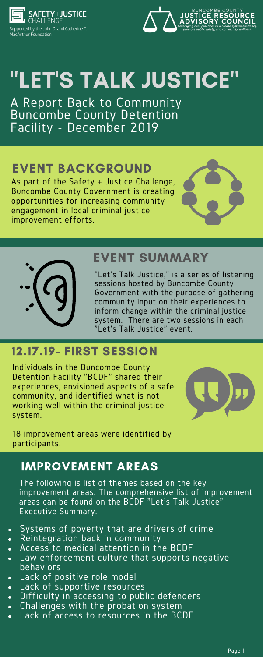

Supported by the John D. and Catherine T. **MacArthur Foundation** 



# "LET'S TALK JUSTICE"

A Report Back to Community Buncombe County Detention Facility - December 2019

# EVENT SUMMARY

# 12.17.19- FIRST SESSION

# IMPROVEMENT AREAS

- Systems of poverty that are drivers of crime
- Reintegration back in community  $\bullet$
- Access to medical attention in the BCDF
- Law enforcement culture that supports negative behaviors
- Lack of positive role model
- Lack of supportive resources
- Difficulty in accessing to public defenders  $\bullet$
- Challenges with the probation system  $\bullet$
- Lack of access to resources in the BCDF  $\bullet$

As part of the Safety + Justice Challenge, Buncombe County Government is creating opportunities for increasing community engagement in local criminal justice improvement efforts.





# EVENT BACKGROUND

"Let's Talk Justice," is a series of listening sessions hosted by Buncombe County Government with the purpose of gathering community input on their experiences to inform change within the criminal justice system. There are two sessions in each "Let's Talk Justice" event.

Individuals in the Buncombe County Detention Facility "BCDF" shared their experiences, envisioned aspects of a safe community, and identified what is not working well within the criminal justice system.



18 improvement areas were identified by participants.

The following is list of themes based on the key improvement areas. The comprehensive list of improvement areas can be found on the BCDF "Let's Talk Justice" Executive Summary.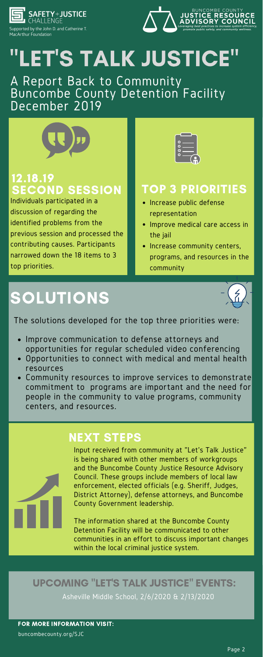

Supported by the John D. and Catherine T. MacArthur Foundation



# "LET'S TALK JUSTICE"

## A Report Back to Community Buncombe County Detention Facility December 2019



## 12.18.19 SECOND SESSION | TOP 3 PRIORITIES

FOR MORE INFORMATION VISIT:

buncombecounty.org/SJC

# SOLUTIONS



## NEXT STEPS

Input received from community at "Let's Talk Justice" is being shared with other members of workgroups and the Buncombe County Justice Resource Advisory Council. These groups include members of local law enforcement, elected officials (e.g. Sheriff, Judges, District Attorney), defense attorneys, and Buncombe County Government leadership.

- Increase public defense representation
- Improve medical care access in the jail
- Increase community centers, programs, and resources in the community

The information shared at the Buncombe County Detention Facility will be communicated to other communities in an effort to discuss important changes within the local criminal justice system.

Asheville Middle School, 2/6/2020 & 2/13/2020

### UPCOMING "LET'S TALK JUSTICE" EVENTS:

Individuals participated in a discussion of regarding the identified problems from the previous session and processed the contributing causes. Participants narrowed down the 18 items to 3 top priorities.



- Improve communication to defense attorneys and opportunities for regular scheduled video conferencing
- Opportunities to connect with medical and mental health resources
- Community resources to improve services to demonstrate commitment to programs are important and the need for

people in the community to value programs, community centers, and resources.

The solutions developed for the top three priorities were: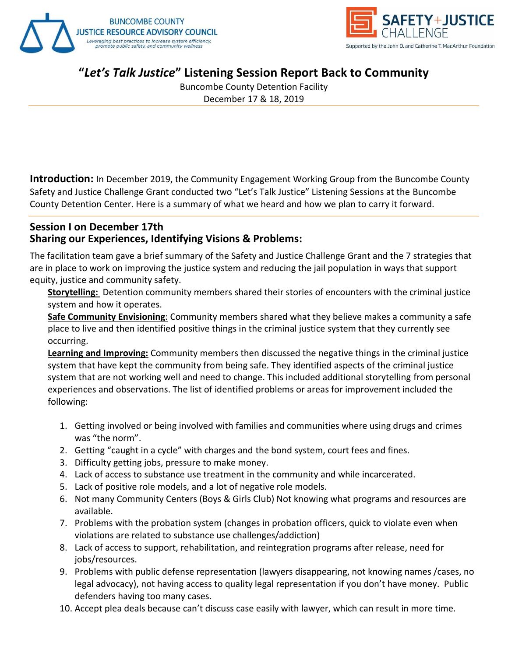



Buncombe County Detention Facility December 17 & 18, 2019

**Introduction:** In December 2019, the Community Engagement Working Group from the Buncombe County Safety and Justice Challenge Grant conducted two "Let's Talk Justice" Listening Sessions at the Buncombe County Detention Center. Here is a summary of what we heard and how we plan to carry it forward.

#### **Session I on December 17th Sharing our Experiences, Identifying Visions & Problems:**

The facilitation team gave a brief summary of the Safety and Justice Challenge Grant and the 7 strategies that are in place to work on improving the justice system and reducing the jail population in ways that support equity, justice and community safety.

**Storytelling:** Detention community members shared their stories of encounters with the criminal justice system and how it operates.

**Safe Community Envisioning**: Community members shared what they believe makes a community a safe place to live and then identified positive things in the criminal justice system that they currently see occurring.

**Learning and Improving:** Community members then discussed the negative things in the criminal justice system that have kept the community from being safe. They identified aspects of the criminal justice system that are not working well and need to change. This included additional storytelling from personal experiences and observations. The list of identified problems or areas for improvement included the following:

- 1. Getting involved or being involved with families and communities where using drugs and crimes was "the norm".
- 2. Getting "caught in a cycle" with charges and the bond system, court fees and fines.
- 3. Difficulty getting jobs, pressure to make money.
- 4. Lack of access to substance use treatment in the community and while incarcerated.
- 5. Lack of positive role models, and a lot of negative role models.
- 6. Not many Community Centers (Boys & Girls Club) Not knowing what programs and resources are available.
- 7. Problems with the probation system (changes in probation officers, quick to violate even when violations are related to substance use challenges/addiction)
- 8. Lack of access to support, rehabilitation, and reintegration programs after release, need for jobs/resources.
- 9. Problems with public defense representation (lawyers disappearing, not knowing names /cases, no legal advocacy), not having access to quality legal representation if you don't have money. Public defenders having too many cases.
- 10. Accept plea deals because can't discuss case easily with lawyer, which can result in more time.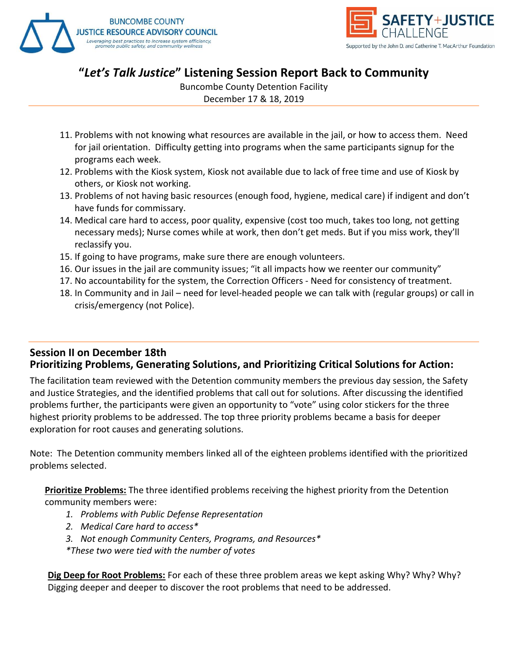



Buncombe County Detention Facility

December 17 & 18, 2019

- 11. Problems with not knowing what resources are available in the jail, or how to access them. Need for jail orientation. Difficulty getting into programs when the same participants signup for the programs each week.
- 12. Problems with the Kiosk system, Kiosk not available due to lack of free time and use of Kiosk by others, or Kiosk not working.
- 13. Problems of not having basic resources (enough food, hygiene, medical care) if indigent and don't have funds for commissary.
- 14. Medical care hard to access, poor quality, expensive (cost too much, takes too long, not getting necessary meds); Nurse comes while at work, then don't get meds. But if you miss work, they'll reclassify you.
- 15. If going to have programs, make sure there are enough volunteers.
- 16. Our issues in the jail are community issues; "it all impacts how we reenter our community"
- 17. No accountability for the system, the Correction Officers Need for consistency of treatment.
- 18. In Community and in Jail need for level-headed people we can talk with (regular groups) or call in crisis/emergency (not Police).

#### **Session II on December 18th Prioritizing Problems, Generating Solutions, and Prioritizing Critical Solutions for Action:**

The facilitation team reviewed with the Detention community members the previous day session, the Safety and Justice Strategies, and the identified problems that call out for solutions. After discussing the identified problems further, the participants were given an opportunity to "vote" using color stickers for the three highest priority problems to be addressed. The top three priority problems became a basis for deeper exploration for root causes and generating solutions.

Note: The Detention community members linked all of the eighteen problems identified with the prioritized problems selected.

**Prioritize Problems:** The three identified problems receiving the highest priority from the Detention community members were:

- *1. Problems with Public Defense Representation*
- *2. Medical Care hard to access\**
- *3. Not enough Community Centers, Programs, and Resources\**

*\*These two were tied with the number of votes*

**Dig Deep for Root Problems:** For each of these three problem areas we kept asking Why? Why? Why? Digging deeper and deeper to discover the root problems that need to be addressed.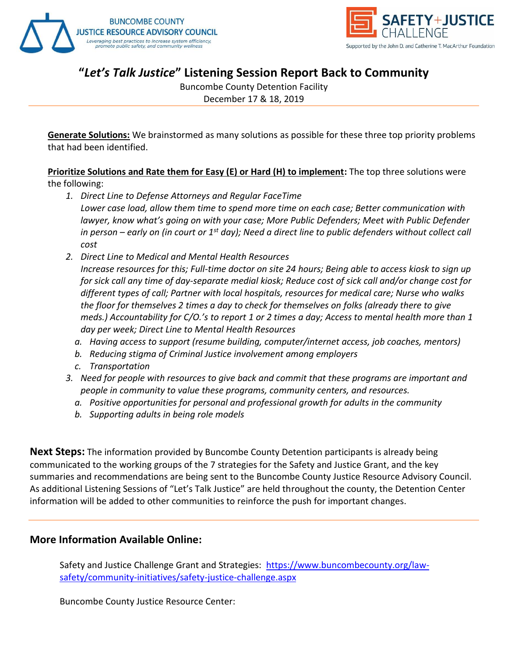



Buncombe County Detention Facility

December 17 & 18, 2019

**Generate Solutions:** We brainstormed as many solutions as possible for these three top priority problems that had been identified.

**Prioritize Solutions and Rate them for Easy (E) or Hard (H) to implement:** The top three solutions were the following:

- *1. Direct Line to Defense Attorneys and Regular FaceTime Lower case load, allow them time to spend more time on each case; Better communication with lawyer, know what's going on with your case; More Public Defenders; Meet with Public Defender in person – early on (in court or 1st day); Need a direct line to public defenders without collect call cost*
- *2. Direct Line to Medical and Mental Health Resources Increase resources for this; Full-time doctor on site 24 hours; Being able to access kiosk to sign up for sick call any time of day-separate medial kiosk; Reduce cost of sick call and/or change cost for different types of call; Partner with local hospitals, resources for medical care; Nurse who walks the floor for themselves 2 times a day to check for themselves on folks (already there to give meds.) Accountability for C/O.'s to report 1 or 2 times a day; Access to mental health more than 1 day per week; Direct Line to Mental Health Resources*
	- *a. Having access to support (resume building, computer/internet access, job coaches, mentors)*
	- *b. Reducing stigma of Criminal Justice involvement among employers*
	- *c. Transportation*
- *3. Need for people with resources to give back and commit that these programs are important and people in community to value these programs, community centers, and resources.*
	- *a. Positive opportunities for personal and professional growth for adults in the community*
	- *b. Supporting adults in being role models*

**Next Steps:** The information provided by Buncombe County Detention participants is already being communicated to the working groups of the 7 strategies for the Safety and Justice Grant, and the key summaries and recommendations are being sent to the Buncombe County Justice Resource Advisory Council. As additional Listening Sessions of "Let's Talk Justice" are held throughout the county, the Detention Center information will be added to other communities to reinforce the push for important changes.

#### **More Information Available Online:**

Safety and Justice Challenge Grant and Strategies: [https://www.buncombecounty.org/law](https://www.buncombecounty.org/law-safety/community-initiatives/safety-justice-challenge.aspx)[safety/community-initiatives/safety-justice-challenge.aspx](https://www.buncombecounty.org/law-safety/community-initiatives/safety-justice-challenge.aspx)

Buncombe County Justice Resource Center: